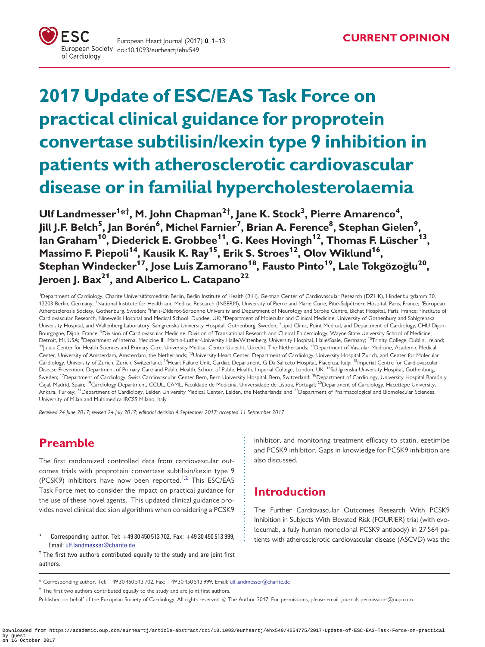<span id="page-0-0"></span>

# 2017 Update of ESC/EAS Task Force on practical clinical guidance for proprotein convertase subtilisin/kexin type 9 inhibition in patients with atherosclerotic cardiovascular disease or in familial hypercholesterolaemia

 $\mathsf{U}$ lf Landmesser $^{1\ast \dagger}$ , M. John Chapman $^{2\dagger}$ , Jane K. Stock $^3$ , Pierre Amarenco $^4$ , Jill J.F. Belch<sup>5</sup>, Jan Borén<sup>6</sup>, Michel Farnier<sup>7</sup>, Brian A. Ference<sup>8</sup>, Stephan Gielen<sup>9</sup>, Ian Graham<sup>10</sup>, Diederick E. Grobbee<sup>11</sup>, G. Kees Hovingh<sup>12</sup>, Thomas F. Lüscher<sup>13</sup>, Massimo F. Piepoli<sup>14</sup>, Kausik K. Ray<sup>15</sup>, Erik S. Stroes<sup>12</sup>, Olov Wiklund<sup>16</sup>, Stephan Windecker<sup>17</sup>, Jose Luis Zamorano<sup>18</sup>, Fausto Pinto<sup>19</sup>, Lale Tokgözoğlu<sup>20</sup>, Jeroen J. Bax<sup>21</sup>, and Alberico L. Catapano<sup>22</sup>

<sup>1</sup>Department of Cardiology, Charite Universitätsmedizin Berlin, Berlin Institute of Health (BIH), German Center of Cardiovascular Research (DZHK), Hindenburgdamm 30, 12203 Berlin, Germany; <sup>2</sup>National Institute for Health and Medical Research (INSERM), University of Pierre and Marie Curie, Pitié-Salpêtrière Hospital, Paris, France; <sup>3</sup>European Atherosclerosis Society, Gothenburg, Sweden; <sup>4</sup>Paris-Diderot-Sorbonne University and Department of Neurology and Stroke Centre, Bichat Hospital, Paris, France; <sup>5</sup>Institute of Cardiovascular Research, Ninewells Hospital and Medical School, Dundee, UK; <sup>6</sup>Department of Molecular and Clinical Medicine, University of Gothenburg and Sahlgrenska University Hospital, and Wallenberg Laboratory, Sahlgrenska University Hospital, Gothenburg, Sweden; <sup>7</sup>Lipid Clinic, Point Medical, and Department of Cardiology, CHU Dijon-Bourgogne, Dijon, France; <sup>8</sup>Division of Cardiovascular Medicine, Division of Translational Research and Clinical Epidemiology, Wayne State University School of Medicine, Detroit, MI, USA; <sup>9</sup>Department of Internal Medicine III, Martin-Luther-University Halle/Wittenberg, University Hospital, Halle/Saale, Germany; <sup>10</sup>Trinity College, Dublin, Ireland; <sup>11</sup>Julius Center for Health Sciences and Primary Care, University Medical Center Utrecht, Utrecht, The Netherlands; <sup>12</sup>Department of Vascular Medicine, Academic Medical Center, University of Amsterdam, Amsterdam, the Netherlands; 13University Heart Center, Department of Cardiology, University Hospital Zurich, and Center for Molecular Cardiology, University of Zurich, Zurich, Switzerland; <sup>14</sup>Heart Failure Unit, Cardiac Department, G Da Saliceto Hospital, Piacenza, Italy; <sup>15</sup>Imperial Centre for Cardiovascular Disease Prevention, Department of Primary Care and Public Health, School of Public Health, Imperial College, London, UK; <sup>16</sup>Sahlgrenska University Hospital, Gothenburg, Sweden; <sup>17</sup>Department of Cardiology, Swiss Cardiovascular Center Bern, Bern University Hospital, Bern, Switzerland; <sup>18</sup>Department of Cardiology, University Hospital Ramón y Cajal, Madrid, Spain; <sup>19</sup>Cardiology Department, CCUL, CAML, Faculdade de Medicina, Universidade de Lisboa, Portugal; <sup>20</sup>Department of Cardiology, Hacettepe University, Ankara, Turkey; <sup>21</sup>Department of Cardiology, Leiden University Medical Center, Leiden, the Netherlands; and <sup>22</sup>Department of Pharmacological and Biomolecular Sciences, University of Milan and Multimedica IRCSS Milano, Italy

Received 24 June 2017; revised 24 July 2017; editorial decision 4 September 2017; accepted 11 September 2017

# Preamble

The first randomized controlled data from cardiovascular outcomes trials with proprotein convertase subtilisin/kexin type 9 (PCSK9) inhibitors have now been reported.<sup>[1](#page-10-0),[2](#page-10-0)</sup> This ESC/EAS Task Force met to consider the impact on practical guidance for the use of these novel agents. This updated clinical guidance provides novel clinical decision algorithms when considering a PCSK9

Corresponding author. Tel:  $+4930450513702$ , Fax:  $+4930450513999$ , Email: ulf.landmesser@charite.de

† The first two authors contributed equally to the study and are joint first authors.

inhibitor, and monitoring treatment efficacy to statin, ezetimibe and PCSK9 inhibitor. Gaps in knowledge for PCSK9 inhibition are also discussed.

# Introduction

The Further Cardiovascular Outcomes Research With PCSK9 Inhibition in Subjects With Elevated Risk (FOURIER) trial (with evolocumab, a fully human monoclonal PCSK9 antibody) in 27 564 patients with atherosclerotic cardiovascular disease (ASCVD) was the

. . . . . . . . . . . . . . . . . . . . . . . . . . . . . . . . .

<sup>\*</sup> Corresponding author. Tel: +49 30 450 513 702, Fax: +49 30 450 513 999, Email: [ulf.landmesser@charite.de](mailto:)

 $<sup>†</sup>$  The first two authors contributed equally to the study and are joint first authors.</sup>

Published on behalf of the European Society of Cardiology. All rights reserved. © The Author 2017. For permissions, please email: journals.permissions@oup.com.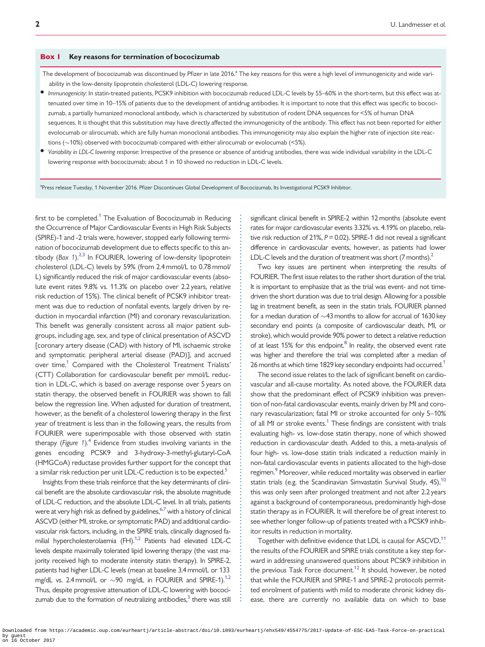#### <span id="page-1-0"></span>Box I Key reasons for termination of bococizumab

The development of bococizumab was discontinued by Pfizer in late 2016.<sup>a</sup> The key reasons for this were a high level of immunogenicity and wide variability in the low-density lipoprotein cholesterol (LDL-C) lowering response.

- Immunogenicity: In statin-treated patients, PCSK9 inhibition with bococizumab reduced LDL-C levels by 55–60% in the short-term, but this effect was attenuated over time in 10–15% of patients due to the development of antidrug antibodies. It is important to note that this effect was specific to bococizumab, a partially humanized monoclonal antibody, which is characterized by substitution of rodent DNA sequences for <5% of human DNA sequences. It is thought that this substitution may have directly affected the immunogenicity of the antibody. This effect has not been reported for either evolocumab or alirocumab, which are fully human monoclonal antibodies. This immunogenicity may also explain the higher rate of injection site reactions (~10%) observed with bococizumab compared with either alirocumab or evolocumab (<5%).
- Variability in LDL-C lowering response: Irrespective of the presence or absence of antidrug antibodies, there was wide individual variability in the LDL-C lowering response with bococizumab; about 1 in 10 showed no reduction in LDL-C levels.

a Press release Tuesday, 1 November 2016. Pfizer Discontinues Global Development of Bococizumab, Its Investigational PCSK9 Inhibitor.

first to be completed.<sup>[1](#page-10-0)</sup> The Evaluation of Bococizumab in Reducing the Occurrence of Major Cardiovascular Events in High Risk Subjects (SPIRE)-1 and -2 trials were, however, stopped early following termination of bococizumab development due to effects specific to this antibody  $(Box 1).^{2,3}$  $(Box 1).^{2,3}$  $(Box 1).^{2,3}$  In FOURIER, lowering of low-density lipoprotein cholesterol (LDL-C) levels by 59% (from 2.4 mmol/L to 0.78 mmol/ L) significantly reduced the risk of major cardiovascular events (absolute event rates 9.8% vs. 11.3% on placebo over 2.2 years, relative risk reduction of 15%). The clinical benefit of PCSK9 inhibitor treatment was due to reduction of nonfatal events, largely driven by reduction in myocardial infarction (MI) and coronary revascularization. This benefit was generally consistent across all major patient subgroups, including age, sex, and type of clinical presentation of ASCVD [coronary artery disease (CAD) with history of MI, ischaemic stroke and symptomatic peripheral arterial disease (PAD)], and accrued over time.<sup>1</sup> Compared with the Cholesterol Treatment Trialists' (CTT) Collaboration for cardiovascular benefit per mmol/L reduction in LDL-C, which is based on average response over 5 years on statin therapy, the observed benefit in FOURIER was shown to fall below the regression line. When adjusted for duration of treatment, however, as the benefit of a cholesterol lowering therapy in the first year of treatment is less than in the following years, the results from FOURIER were superimposable with those observed with statin therapy (Figure [1](#page-2-0)).<sup>4</sup> Evidence from studies involving variants in the genes encoding PCSK9 and 3-hydroxy-3-methyl-glutaryl-CoA (HMGCoA) reductase provides further support for the concept that a similar risk reduction per unit LDL-C reduction is to be expected.<sup>5</sup>

Insights from these trials reinforce that the key determinants of clinical benefit are the absolute cardiovascular risk, the absolute magnitude of LDL-C reduction, and the absolute LDL-C level. In all trials, patients were at very high risk as defined by guidelines,  $6,7$  with a history of clinical ASCVD (either MI, stroke, or symptomatic PAD) and additional cardiovascular risk factors, including, in the SPIRE trials, clinically diagnosed familial hypercholesterolaemia (FH).<sup>1,2</sup> Patients had elevated LDL-C levels despite maximally tolerated lipid lowering therapy (the vast majority received high to moderate intensity statin therapy). In SPIRE-2, patients had higher LDL-C levels (mean at baseline 3.4 mmol/L or 133 mg/dL vs. 2.4 mmol/L or  $\sim$ 90 mg/dL in FOURIER and SPIRE-1).<sup>1,2</sup> Thus, despite progressive attenuation of LDL-C lowering with bococizumab due to the formation of neutralizing antibodies, $3$  there was still

significant clinical benefit in SPIRE-2 within 12 months (absolute event rates for major cardiovascular events 3.32% vs. 4.19% on placebo, relative risk reduction of 21%,  $P = 0.02$ ). SPIRE-1 did not reveal a significant difference in cardiovascular events, however, as patients had lower LDL-C levels and the duration of treatment was short (7 months). $^{2}$ 

Two key issues are pertinent when interpreting the results of FOURIER. The first issue relates to the rather short duration of the trial. It is important to emphasize that as the trial was event- and not timedriven the short duration was due to trial design. Allowing for a possible lag in treatment benefit, as seen in the statin trials, FOURIER planned for a median duration of  $\sim$ 43 months to allow for accrual of 1630 key secondary end points (a composite of cardiovascular death, MI, or stroke), which would provide 90% power to detect a relative reduction of at least 15% for this endpoint.<sup>8</sup> In reality, the observed event rate was higher and therefore the trial was completed after a median of 26 months at which time 1829 key secondary endpoints had occurred.<sup>1</sup>

The second issue relates to the lack of significant benefit on cardiovascular and all-cause mortality. As noted above, the FOURIER data show that the predominant effect of PCSK9 inhibition was prevention of non-fatal cardiovascular events, mainly driven by MI and coronary revascularization; fatal MI or stroke accounted for only 5–10% of all MI or stroke events.<sup>[1](#page-10-0)</sup> These findings are consistent with trials evaluating high- vs. low-dose statin therapy, none of which showed reduction in cardiovascular death. Added to this, a meta-analysis of four high- vs. low-dose statin trials indicated a reduction mainly in non-fatal cardiovascular events in patients allocated to the high-dose regimen.<sup>[9](#page-10-0)</sup> Moreover, while reduced mortality was observed in earlier statin trials (e.g. the Scandinavian Simvastatin Survival Study, 4S),<sup>10</sup> this was only seen after prolonged treatment and not after 2.2 years against a background of contemporaneous, predominantly high-dose statin therapy as in FOURIER. It will therefore be of great interest to see whether longer follow-up of patients treated with a PCSK9 inhibitor results in reduction in mortality.

Together with definitive evidence that LDL is causal for ASCVD, $11$ the results of the FOURIER and SPIRE trials constitute a key step forward in addressing unanswered questions about PCSK9 inhibition in the previous Task Force document.<sup>[12](#page-10-0)</sup> It should, however, be noted that while the FOURIER and SPIRE-1 and SPIRE-2 protocols permitted enrolment of patients with mild to moderate chronic kidney disease, there are currently no available data on which to base

. . . . . . . . . . . . . . . . . . . . . . . . . . . . . . . . . . . . . . . . . . . . . . . . . . . . . . . . . . . . . . . . . . . . . . . . . . . . . . . . . . . . . . . . . . . . . . . . . . . . . . . . . . . . . . . . . . . . . . . .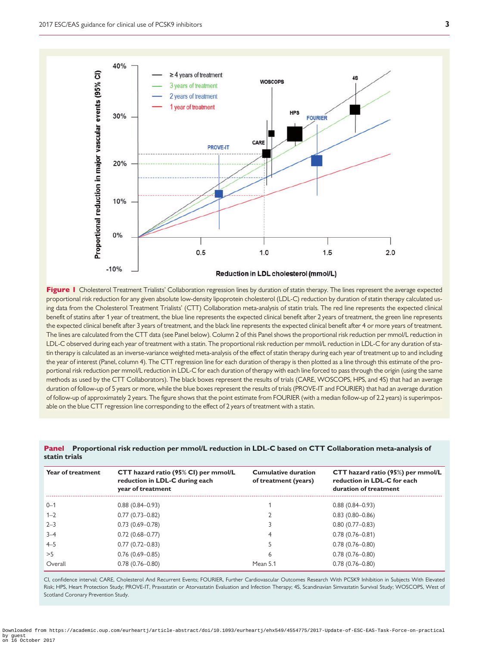<span id="page-2-0"></span>

Figure I Cholesterol Treatment Trialists' Collaboration regression lines by duration of statin therapy. The lines represent the average expected proportional risk reduction for any given absolute low-density lipoprotein cholesterol (LDL-C) reduction by duration of statin therapy calculated using data from the Cholesterol Treatment Trialists' (CTT) Collaboration meta-analysis of statin trials. The red line represents the expected clinical benefit of statins after 1 year of treatment, the blue line represents the expected clinical benefit after 2 years of treatment, the green line represents the expected clinical benefit after 3 years of treatment, and the black line represents the expected clinical benefit after 4 or more years of treatment. The lines are calculated from the CTT data (see Panel below). Column 2 of this Panel shows the proportional risk reduction per mmol/L reduction in LDL-C observed during each year of treatment with a statin. The proportional risk reduction per mmol/L reduction in LDL-C for any duration of statin therapy is calculated as an inverse-variance weighted meta-analysis of the effect of statin therapy during each year of treatment up to and including the year of interest (Panel, column 4). The CTT regression line for each duration of therapy is then plotted as a line through this estimate of the proportional risk reduction per mmol/L reduction in LDL-C for each duration of therapy with each line forced to pass through the origin (using the same methods as used by the CTT Collaborators). The black boxes represent the results of trials (CARE, WOSCOPS, HPS, and 4S) that had an average duration of follow-up of 5 years or more, while the blue boxes represent the results of trials (PROVE-IT and FOURIER) that had an average duration of follow-up of approximately 2 years. The figure shows that the point estimate from FOURIER (with a median follow-up of 2.2 years) is superimposable on the blue CTT regression line corresponding to the effect of 2 years of treatment with a statin.

| Year of treatment | CTT hazard ratio (95% CI) per mmol/L<br>reduction in LDL-C during each<br>year of treatment | <b>Cumulative duration</b><br>of treatment (years) | CTT hazard ratio (95%) per mmol/L<br>reduction in LDL-C for each<br>duration of treatment |
|-------------------|---------------------------------------------------------------------------------------------|----------------------------------------------------|-------------------------------------------------------------------------------------------|
| $0 - 1$           | $0.88(0.84 - 0.93)$                                                                         |                                                    | $0.88(0.84 - 0.93)$                                                                       |
| $1 - 2$           | $0.77(0.73 - 0.82)$                                                                         |                                                    | $0.83(0.80 - 0.86)$                                                                       |
| $2 - 3$           | $0.73(0.69 - 0.78)$                                                                         |                                                    | $0.80(0.77-0.83)$                                                                         |
| $3 - 4$           | $0.72(0.68 - 0.77)$                                                                         | 4                                                  | $0.78(0.76 - 0.81)$                                                                       |
| $4 - 5$           | $0.77(0.72 - 0.83)$                                                                         |                                                    | $0.78(0.76 - 0.80)$                                                                       |
| >5                | $0.76(0.69 - 0.85)$                                                                         | ь                                                  | $0.78(0.76 - 0.80)$                                                                       |
| Overall           | $0.78(0.76 - 0.80)$                                                                         | Mean 5.1                                           | $0.78(0.76 - 0.80)$                                                                       |

Panel Proportional risk reduction per mmol/L reduction in LDL-C based on CTT Collaboration meta-analysis of statin trials

CI, confidence interval; CARE, Cholesterol And Recurrent Events; FOURIER, Further Cardiovascular Outcomes Research With PCSK9 Inhibition in Subjects With Elevated Risk; HPS, Heart Protection Study; PROVE-IT, Pravastatin or Atorvastatin Evaluation and Infection Therapy; 4S, Scandinavian Simvastatin Survival Study; WOSCOPS, West of Scotland Coronary Prevention Study.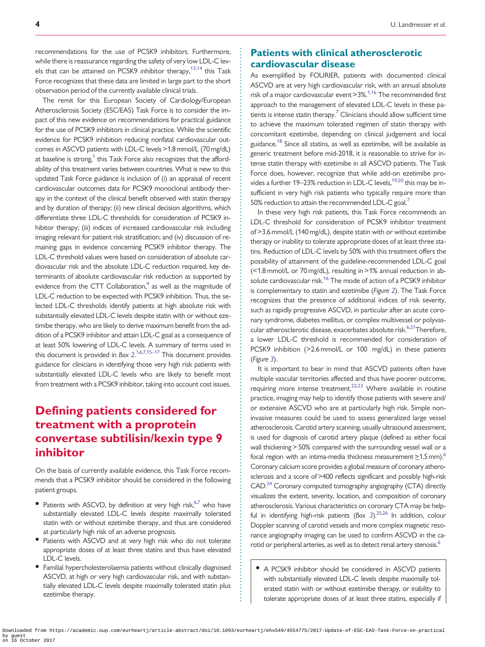<span id="page-3-0"></span>. recommendations for the use of PCSK9 inhibitors. Furthermore, while there is reassurance regarding the safety of very low LDL-C lev-els that can be attained on PCSK9 inhibitor therapy,<sup>13,[14](#page-10-0)</sup> this Task Force recognizes that these data are limited in large part to the short observation period of the currently available clinical trials.

The remit for this European Society of Cardiology/European Atherosclerosis Society (ESC/EAS) Task Force is to consider the impact of this new evidence on recommendations for practical guidance for the use of PCSK9 inhibitors in clinical practice. While the scientific evidence for PCSK9 inhibition reducing nonfatal cardiovascular outcomes in ASCVD patients with LDL-C levels >1.8 mmol/L (70 mg/dL) at baseline is strong, $1$  this Task Force also recognizes that the affordability of this treatment varies between countries. What is new to this updated Task Force guidance is inclusion of (i) an appraisal of recent cardiovascular outcomes data for PCSK9 monoclonal antibody therapy in the context of the clinical benefit observed with statin therapy and by duration of therapy; (ii) new clinical decision algorithms, which differentiate three LDL-C thresholds for consideration of PCSK9 inhibitor therapy; (iii) indices of increased cardiovascular risk including imaging relevant for patient risk stratification; and (iv) discussion of remaining gaps in evidence concerning PCSK9 inhibitor therapy. The LDL-C threshold values were based on consideration of absolute cardiovascular risk and the absolute LDL-C reduction required, key determinants of absolute cardiovascular risk reduction as supported by evidence from the CTT Collaboration, $4$  as well as the magnitude of LDL-C reduction to be expected with PCSK9 inhibition. Thus, the selected LDL-C thresholds identify patients at high absolute risk with substantially elevated LDL-C levels despite statin with or without ezetimibe therapy, who are likely to derive maximum benefit from the addition of a PCSK9 inhibitor and attain LDL-C goal as a consequence of at least 50% lowering of LDL-C levels. A summary of terms used in this document is provided in Box  $2^{1,6,7,15-17}$  $2^{1,6,7,15-17}$  $2^{1,6,7,15-17}$  $2^{1,6,7,15-17}$  $2^{1,6,7,15-17}$  $2^{1,6,7,15-17}$  This document provides guidance for clinicians in identifying those very high risk patients with substantially elevated LDL-C levels who are likely to benefit most from treatment with a PCSK9 inhibitor, taking into account cost issues.

# Defining patients considered for treatment with a proprotein convertase subtilisin/kexin type 9 inhibitor

On the basis of currently available evidence, this Task Force recommends that a PCSK9 inhibitor should be considered in the following patient groups.

- Patients with ASCVD, by definition at very high risk,  $6.7$  $6.7$  who have substantially elevated LDL-C levels despite maximally tolerated statin with or without ezetimibe therapy, and thus are considered at particularly high risk of an adverse prognosis.
- Patients with ASCVD and at very high risk who do not tolerate appropriate doses of at least three statins and thus have elevated LDL-C levels.
- Familial hypercholesterolaemia patients without clinically diagnosed ASCVD, at high or very high cardiovascular risk, and with substantially elevated LDL-C levels despite maximally tolerated statin plus ezetimibe therapy.

## Patients with clinical atherosclerotic cardiovascular disease

As exemplified by FOURIER, patients with documented clinical ASCVD are at very high cardiovascular risk, with an annual absolute risk of a major cardiovascular event >3%[.1,](#page-10-0)[16](#page-11-0) The recommended first approach to the management of elevated LDL-C levels in these pa-tients is intense statin therapy.<sup>[7](#page-10-0)</sup> Clinicians should allow sufficient time to achieve the maximum tolerated regimen of statin therapy with concomitant ezetimibe, depending on clinical judgement and local guidance[.18](#page-11-0) Since all statins, as well as ezetimibe, will be available as generic treatment before mid-2018, it is reasonable to strive for intense statin therapy with ezetimibe in all ASCVD patients. The Task Force does, however, recognize that while add-on ezetimibe provides a further 19–23% reduction in LDL-C levels,<sup>19,20</sup> this may be insufficient in very high risk patients who typically require more than 50% reduction to attain the recommended LDL-C goal.<sup>7</sup>

In these very high risk patients, this Task Force recommends an LDL-C threshold for consideration of PCSK9 inhibitor treatment of >3.6 mmol/L (140 mg/dL), despite statin with or without ezetimibe therapy or inability to tolerate appropriate doses of at least three statins. Reduction of LDL-C levels by 50% with this treatment offers the possibility of attainment of the guideline-recommended LDL-C goal (<1.8 mmol/L or 70 mg/dL), resulting in >1% annual reduction in absolute cardiovascular risk.<sup>16</sup> The mode of action of a PCSK9 inhibitor is complementary to statin and ezetimibe (Figure [2](#page-5-0)). The Task Force recognizes that the presence of additional indices of risk severity, such as rapidly progressive ASCVD, in particular after an acute coronary syndrome, diabetes mellitus, or complex multivessel or polyvas-cular atherosclerotic disease, exacerbates absolute risk.<sup>6,[21](#page-11-0)</sup>Therefore, a lower LDL-C threshold is recommended for consideration of PCSK9 inhibition (>2.6 mmol/L or 100 mg/dL) in these patients (Figure [3](#page-5-0)).

It is important to bear in mind that ASCVD patients often have multiple vascular territories affected and thus have poorer outcome, requiring more intense treatment.<sup>[22,23](#page-11-0)</sup> Where available in routine practice, imaging may help to identify those patients with severe and/ or extensive ASCVD who are at particularly high risk. Simple noninvasive measures could be used to assess generalized large vessel atherosclerosis. Carotid artery scanning, usually ultrasound assessment, is used for diagnosis of carotid artery plaque (defined as either focal wall thickening > 50% compared with the surrounding vessel wall or a focal region with an intima-media thickness measurement  $\geq$ 1.5 mm).<sup>[6](#page-10-0)</sup> Coronary calcium score provides a global measure of coronary atherosclerosis and a score of >400 reflects significant and possibly high-risk CAD.<sup>[24](#page-11-0)</sup> Coronary computed tomography angiography (CTA) directly visualizes the extent, severity, location, and composition of coronary atherosclerosis. Various characteristics on coronary CTA may be helpful in identifying high-risk patients  $(Box 3).^{25,26}$  $(Box 3).^{25,26}$  $(Box 3).^{25,26}$  In addition, colour Doppler scanning of carotid vessels and more complex magnetic resonance angiography imaging can be used to confirm ASCVD in the ca-rotid or peripheral arteries, as well as to detect renal artery stenosis.<sup>[6](#page-10-0)</sup>

• A PCSK9 inhibitor should be considered in ASCVD patients with substantially elevated LDL-C levels despite maximally tolerated statin with or without ezetimibe therapy, or inability to tolerate appropriate doses of at least three statins, especially if

. . . . . . . . . . . . . . . . . . . . . . . . . . . . . . . . . . . . . . . . . . . . . . . . . . . . . . . . . . . . . . . . . . . . . . . . . . . . . . . . . . . . . . . . . . . . . . . . . . . . . . . . . . . . . . . . . . . . . . . . . . . . . . . . . . . . . . . . . . . . . . . . . . . . . . . . . . . . . . . . . . . . . . . . . . . .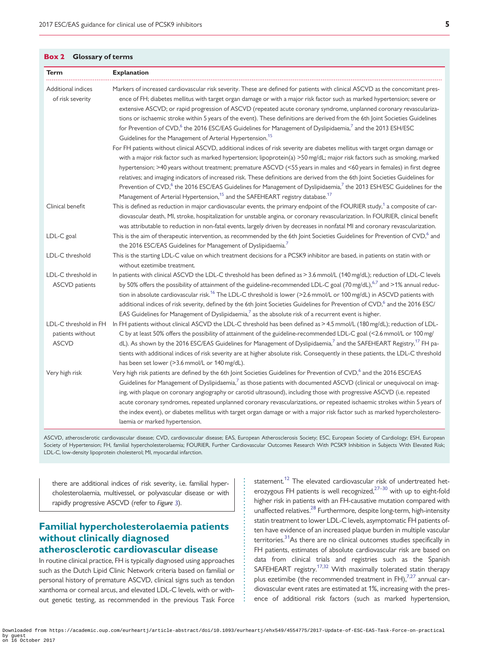<span id="page-4-0"></span>

| <b>Term</b>                                               | <b>Explanation</b>                                                                                                                                                                                                                                                                                                                                                                                                                                                                                                                                                                                                                                                                                                                                                                  |  |  |
|-----------------------------------------------------------|-------------------------------------------------------------------------------------------------------------------------------------------------------------------------------------------------------------------------------------------------------------------------------------------------------------------------------------------------------------------------------------------------------------------------------------------------------------------------------------------------------------------------------------------------------------------------------------------------------------------------------------------------------------------------------------------------------------------------------------------------------------------------------------|--|--|
| Additional indices<br>of risk severity                    | Markers of increased cardiovascular risk severity. These are defined for patients with clinical ASCVD as the concomitant pres-<br>ence of FH; diabetes mellitus with target organ damage or with a major risk factor such as marked hypertension; severe or<br>extensive ASCVD; or rapid progression of ASCVD (repeated acute coronary syndrome, unplanned coronary revasculariza-<br>tions or ischaemic stroke within 5 years of the event). These definitions are derived from the 6th Joint Societies Guidelines<br>for Prevention of CVD, <sup>6</sup> the 2016 ESC/EAS Guidelines for Management of Dyslipidaemia, <sup>7</sup> and the 2013 ESH/ESC<br>Guidelines for the Management of Arterial Hypertension. <sup>15</sup>                                                  |  |  |
|                                                           | For FH patients without clinical ASCVD, additional indices of risk severity are diabetes mellitus with target organ damage or<br>with a major risk factor such as marked hypertension; lipoprotein(a) >50 mg/dL; major risk factors such as smoking, marked<br>hypertension; >40 years without treatment; premature ASCVD (<55 years in males and <60 years in females) in first degree<br>relatives; and imaging indicators of increased risk. These definitions are derived from the 6th Joint Societies Guidelines for<br>Prevention of CVD, <sup>6</sup> the 2016 ESC/EAS Guidelines for Management of Dyslipidaemia, <sup>7</sup> the 2013 ESH/ESC Guidelines for the<br>Management of Arterial Hypertension, <sup>15</sup> and the SAFEHEART registry database. <sup>17</sup> |  |  |
| Clinical benefit                                          | This is defined as reduction in major cardiovascular events, the primary endpoint of the FOURIER study, <sup>1</sup> a composite of car-<br>diovascular death, MI, stroke, hospitalization for unstable angina, or coronary revascularization. In FOURIER, clinical benefit<br>was attributable to reduction in non-fatal events, largely driven by decreases in nonfatal MI and coronary revascularization.                                                                                                                                                                                                                                                                                                                                                                        |  |  |
| LDL-C goal                                                | This is the aim of therapeutic intervention, as recommended by the 6th Joint Societies Guidelines for Prevention of CVD, <sup>6</sup> and<br>the 2016 ESC/EAS Guidelines for Management of Dyslipidaemia.7                                                                                                                                                                                                                                                                                                                                                                                                                                                                                                                                                                          |  |  |
| LDL-C threshold                                           | This is the starting LDL-C value on which treatment decisions for a PCSK9 inhibitor are based, in patients on statin with or<br>without ezetimibe treatment.                                                                                                                                                                                                                                                                                                                                                                                                                                                                                                                                                                                                                        |  |  |
| LDL-C threshold in<br><b>ASCVD</b> patients               | In patients with clinical ASCVD the LDL-C threshold has been defined as > 3.6 mmol/L (140 mg/dL); reduction of LDL-C levels<br>by 50% offers the possibility of attainment of the guideline-recommended LDL-C goal (70 mg/dL), <sup>6,7</sup> and >1% annual reduc-<br>tion in absolute cardiovascular risk. <sup>16</sup> The LDL-C threshold is lower (>2.6 mmol/L or 100 mg/dL) in ASCVD patients with<br>additional indices of risk severity, defined by the 6th Joint Societies Guidelines for Prevention of CVD, <sup>6</sup> and the 2016 ESC/<br>EAS Guidelines for Management of Dyslipidaemia, <sup>7</sup> as the absolute risk of a recurrent event is higher.                                                                                                          |  |  |
| LDL-C threshold in FH<br>patients without<br><b>ASCVD</b> | In FH patients without clinical ASCVD the LDL-C threshold has been defined as > 4.5 mmol/L (180 mg/dL); reduction of LDL-<br>C by at least 50% offers the possibility of attainment of the guideline-recommended LDL-C goal (<2.6 mmol/L or 100 mg/<br>dL). As shown by the 2016 ESC/EAS Guidelines for Management of Dyslipidaemia, <sup>7</sup> and the SAFEHEART Registry, <sup>17</sup> FH pa-<br>tients with additional indices of risk severity are at higher absolute risk. Consequently in these patients, the LDL-C threshold<br>has been set lower (>3.6 mmol/L or 140 mg/dL).                                                                                                                                                                                            |  |  |
| Very high risk                                            | Very high risk patients are defined by the 6th Joint Societies Guidelines for Prevention of CVD, <sup>6</sup> and the 2016 ESC/EAS<br>Guidelines for Management of Dyslipidaemia, <sup>7</sup> as those patients with documented ASCVD (clinical or unequivocal on imag-<br>ing, with plaque on coronary angiography or carotid ultrasound), including those with progressive ASCVD (i.e. repeated<br>acute coronary syndromes, repeated unplanned coronary revascularizations, or repeated ischaemic strokes within 5 years of<br>the index event), or diabetes mellitus with target organ damage or with a major risk factor such as marked hypercholestero-<br>laemia or marked hypertension.                                                                                    |  |  |

ASCVD, atherosclerotic cardiovascular disease; CVD, cardiovascular disease; EAS, European Atherosclerosis Society; ESC, European Society of Cardiology; ESH, European Society of Hypertension; FH, familial hypercholesterolaemia; FOURIER, Further Cardiovascular Outcomes Research With PCSK9 Inhibition in Subjects With Elevated Risk; LDL-C, low-density lipoprotein cholesterol; MI, myocardial infarction.

. there are additional indices of risk severity, i.e. familial hypercholesterolaemia, multivessel, or polyvascular disease or with rapidly progressive ASCVD (refer to Figure [3](#page-5-0)).

## Familial hypercholesterolaemia patients without clinically diagnosed atherosclerotic cardiovascular disease

In routine clinical practice, FH is typically diagnosed using approaches such as the Dutch Lipid Clinic Network criteria based on familial or personal history of premature ASCVD, clinical signs such as tendon xanthoma or corneal arcus, and elevated LDL-C levels, with or without genetic testing, as recommended in the previous Task Force

statement.<sup>12</sup> The elevated cardiovascular risk of undertreated heterozygous FH patients is well recognized, $27-30$  $27-30$  $27-30$  with up to eight-fold higher risk in patients with an FH-causative mutation compared with unaffected relatives[.28](#page-11-0) Furthermore, despite long-term, high-intensity statin treatment to lower LDL-C levels, asymptomatic FH patients often have evidence of an increased plaque burden in multiple vascular territories[.31](#page-11-0)As there are no clinical outcomes studies specifically in FH patients, estimates of absolute cardiovascular risk are based on data from clinical trials and registries such as the Spanish SAFEHEART registry[.17,32](#page-11-0) With maximally tolerated statin therapy plus ezetimibe (the recommended treatment in FH), $7.27$  $7.27$  annual cardiovascular event rates are estimated at 1%, increasing with the presence of additional risk factors (such as marked hypertension,

. . . . . . . . . . . . . . . . . . . . . . . . . . . . . . . . . . . . . .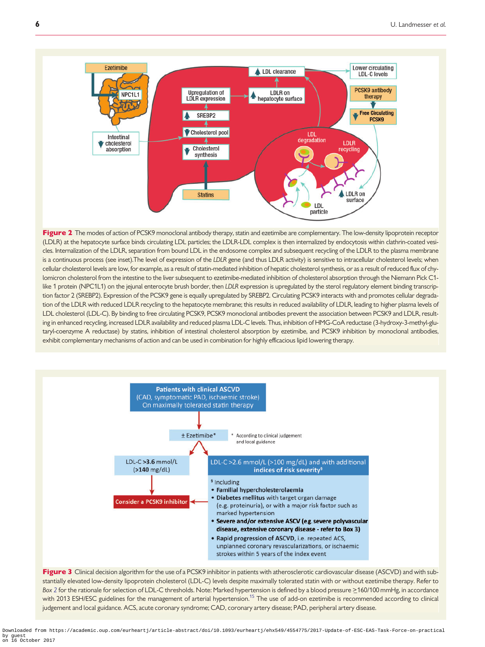<span id="page-5-0"></span>

Figure 2 The modes of action of PCSK9 monoclonal antibody therapy, statin and ezetimibe are complementary. The low-density lipoprotein receptor (LDLR) at the hepatocyte surface binds circulating LDL particles; the LDLR-LDL complex is then internalized by endocytosis within clathrin-coated vesicles. Internalization of the LDLR, separation from bound LDL in the endosome complex and subsequent recycling of the LDLR to the plasma membrane is a continuous process (see inset).The level of expression of the LDLR gene (and thus LDLR activity) is sensitive to intracellular cholesterol levels; when cellular cholesterol levels are low, for example, as a result of statin-mediated inhibition of hepatic cholesterol synthesis, or as a result of reduced flux of chylomicron cholesterol from the intestine to the liver subsequent to ezetimibe-mediated inhibition of cholesterol absorption through the Niemann Pick C1 like 1 protein (NPC1L1) on the jejunal enterocyte brush border, then LDLR expression is upregulated by the sterol regulatory element binding transcription factor 2 (SREBP2). Expression of the PCSK9 gene is equally upregulated by SREBP2. Circulating PCSK9 interacts with and promotes cellular degradation of the LDLR with reduced LDLR recycling to the hepatocyte membrane; this results in reduced availability of LDLR, leading to higher plasma levels of LDL cholesterol (LDL-C). By binding to free circulating PCSK9, PCSK9 monoclonal antibodies prevent the association between PCSK9 and LDLR, resulting in enhanced recycling, increased LDLR availability and reduced plasma LDL-C levels. Thus, inhibition of HMG-CoA reductase (3-hydroxy-3-methyl-glutaryl-coenzyme A reductase) by statins, inhibition of intestinal cholesterol absorption by ezetimibe, and PCSK9 inhibition by monoclonal antibodies, exhibit complementary mechanisms of action and can be used in combination for highly efficacious lipid lowering therapy.



Figure 3 Clinical decision algorithm for the use of a PCSK9 inhibitor in patients with atherosclerotic cardiovascular disease (ASCVD) and with substantially elevated low-density lipoprotein cholesterol (LDL-C) levels despite maximally tolerated statin with or without ezetimibe therapy. Refer to Box [2](#page-4-0) for the rationale for selection of LDL-C thresholds. Note: Marked hypertension is defined by a blood pressure  $\geq$ 160/100 mmHg, in accordance with 2013 ESH/ESC guidelines for the management of arterial hypertension.<sup>15</sup> The use of add-on ezetimibe is recommended according to clinical judgement and local guidance. ACS, acute coronary syndrome; CAD, coronary artery disease; PAD, peripheral artery disease.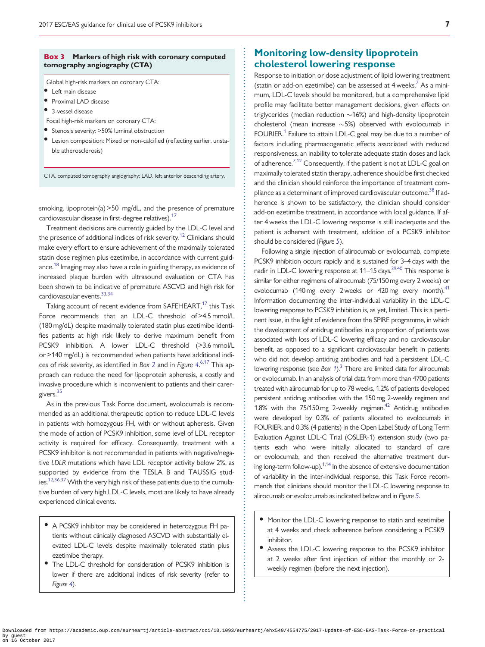#### <span id="page-6-0"></span>Box 3 Markers of high risk with coronary computed tomography angiography (CTA)

Global high-risk markers on coronary CTA:

- Left main disease
- Proximal LAD disease
- 3-vessel disease
- Focal high-risk markers on coronary CTA:
- Stenosis severity: >50% luminal obstruction
- Lesion composition: Mixed or non-calcified (reflecting earlier, unstable atherosclerosis)

CTA, computed tomography angiography; LAD, left anterior descending artery.

smoking, lipoprotein(a) >50 mg/dL, and the presence of premature cardiovascular disease in first-degree relatives).<sup>17</sup>

Treatment decisions are currently guided by the LDL-C level and the presence of additional indices of risk severity.<sup>[12](#page-10-0)</sup> Clinicians should make every effort to ensure achievement of the maximally tolerated statin dose regimen plus ezetimibe, in accordance with current guid-ance.<sup>[18](#page-11-0)</sup> Imaging may also have a role in guiding therapy, as evidence of increased plaque burden with ultrasound evaluation or CTA has been shown to be indicative of premature ASCVD and high risk for cardiovascular events.<sup>33,34</sup>

Taking account of recent evidence from SAFEHEART,<sup>[17](#page-11-0)</sup> this Task Force recommends that an LDL-C threshold of >4.5 mmol/L (180 mg/dL) despite maximally tolerated statin plus ezetimibe identifies patients at high risk likely to derive maximum benefit from PCSK9 inhibition. A lower LDL-C threshold (>3.6 mmol/L or >140 mg/dL) is recommended when patients have additional indi-ces of risk severity, as identified in Box [2](#page-4-0) and in Figure [4](#page-7-0).<sup>[6](#page-10-0)[,17](#page-11-0)</sup> This approach can reduce the need for lipoprotein apheresis, a costly and invasive procedure which is inconvenient to patients and their carer-givers.<sup>[35](#page-11-0)</sup>

As in the previous Task Force document, evolocumab is recommended as an additional therapeutic option to reduce LDL-C levels in patients with homozygous FH, with or without apheresis. Given the mode of action of PCSK9 inhibition, some level of LDL receptor activity is required for efficacy. Consequently, treatment with a PCSK9 inhibitor is not recommended in patients with negative/negative LDLR mutations which have LDL receptor activity below 2%, as supported by evidence from the TESLA B and TAUSSIG stud-ies.<sup>[12](#page-10-0),[36,37](#page-11-0)</sup> With the very high risk of these patients due to the cumulative burden of very high LDL-C levels, most are likely to have already experienced clinical events.

- A PCSK9 inhibitor may be considered in heterozygous FH patients without clinically diagnosed ASCVD with substantially elevated LDL-C levels despite maximally tolerated statin plus ezetimibe therapy.
- The LDL-C threshold for consideration of PCSK9 inhibition is lower if there are additional indices of risk severity (refer to Figure [4](#page-7-0)).

### Monitoring low-density lipoprotein cholesterol lowering response

Response to initiation or dose adjustment of lipid lowering treatment (statin or add-on ezetimibe) can be assessed at  $4$  weeks.<sup>[7](#page-10-0)</sup> As a minimum, LDL-C levels should be monitored, but a comprehensive lipid profile may facilitate better management decisions, given effects on triglycerides (median reduction  ${\sim}16\%)$  and high-density lipoprotein cholesterol (mean increase  $\sim$ 5%) observed with evolocumab in FOURIER.<sup>1</sup> Failure to attain LDL-C goal may be due to a number of factors including pharmacogenetic effects associated with reduced responsiveness, an inability to tolerate adequate statin doses and lack of adherence.[7,12](#page-10-0) Consequently, if the patient is not at LDL-C goal on maximally tolerated statin therapy, adherence should be first checked and the clinician should reinforce the importance of treatment compliance as a determinant of improved cardiovascular outcome.<sup>38</sup> If adherence is shown to be satisfactory, the clinician should consider add-on ezetimibe treatment, in accordance with local guidance. If after 4 weeks the LDL-C lowering response is still inadequate and the patient is adherent with treatment, addition of a PCSK9 inhibitor should be considered (Figure [5](#page-7-0)).

Following a single injection of alirocumab or evolocumab, complete PCSK9 inhibition occurs rapidly and is sustained for 3–4 days with the nadir in LDL-C lowering response at 11-15 days.<sup>[39,40](#page-11-0)</sup> This response is similar for either regimens of alirocumab (75/150 mg every 2 weeks) or evolocumab  $(140 \text{ mg}$  every 2 weeks or  $420 \text{ mg}$  every month).<sup>41</sup> Information documenting the inter-individual variability in the LDL-C lowering response to PCSK9 inhibition is, as yet, limited. This is a pertinent issue, in the light of evidence from the SPIRE programme, in which the development of antidrug antibodies in a proportion of patients was associated with loss of LDL-C lowering efficacy and no cardiovascular benefit, as opposed to a significant cardiovascular benefit in patients who did not develop antidrug antibodies and had a persistent LDL-C lowering response (see Box [1](#page-1-0)).<sup>[3](#page-10-0)</sup> There are limited data for alirocumab or evolocumab. In an analysis of trial data from more than 4700 patients treated with alirocumab for up to 78 weeks, 1.2% of patients developed persistent antidrug antibodies with the 150 mg 2-weekly regimen and 1.8% with the  $75/150 \,\mathrm{mg}$  2-weekly regimen.<sup>[42](#page-11-0)</sup> Antidrug antibodies were developed by 0.3% of patients allocated to evolocumab in FOURIER, and 0.3% (4 patients) in the Open Label Study of Long Term Evaluation Against LDL-C Trial (OSLER-1) extension study (two patients each who were initially allocated to standard of care or evolocumab, and then received the alternative treatment dur-ing long-term follow-up).<sup>[1,14](#page-10-0)</sup> In the absence of extensive documentation of variability in the inter-individual response, this Task Force recommends that clinicians should monitor the LDL-C lowering response to alirocumab or evolocumab as indicated below and in Figure [5](#page-7-0).

- Monitor the LDL-C lowering response to statin and ezetimibe at 4 weeks and check adherence before considering a PCSK9 inhibitor.
- Assess the LDL-C lowering response to the PCSK9 inhibitor at 2 weeks after first injection of either the monthly or 2 weekly regimen (before the next injection).

. . . . . . . . . . . . . . . . . . . . . . . . . . . . . . . . . . . . . . . . . . . . . . . . . . . . . . . . . . . . . . . . . . . . . . . . . . . . . . . . . . . . . . . . . . . . . . . . . . . . . . . . . . . . . . . . . . . . . . . . . . . . . . . . . . . . . . . . . . . . . . . . . . . . . . . . . . . . . . . . . . . . . . . . . . . . .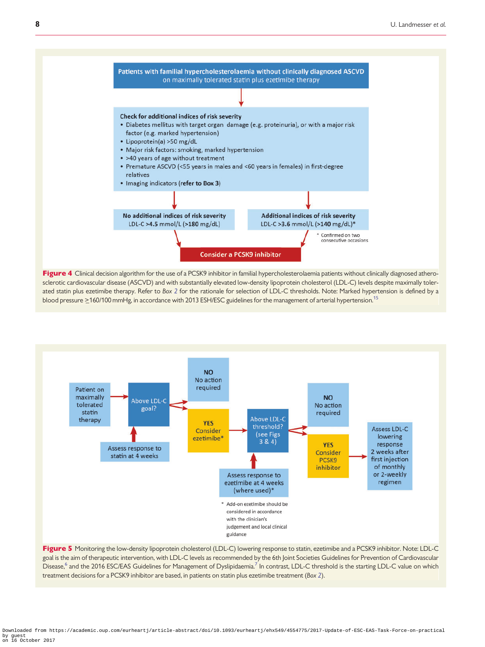<span id="page-7-0"></span>

Figure 4 Clinical decision algorithm for the use of a PCSK9 inhibitor in familial hypercholesterolaemia patients without clinically diagnosed atherosclerotic cardiovascular disease (ASCVD) and with substantially elevated low-density lipoprotein cholesterol (LDL-C) levels despite maximally tolerated statin plus ezetimibe therapy. Refer to Box [2](#page-4-0) for the rationale for selection of LDL-C thresholds. Note: Marked hypertension is defined by a blood pressure >160/100 mmHg, in accordance with 2013 ESH/ESC guidelines for the management of arterial hypertension.<sup>[15](#page-10-0)</sup>



Figure 5 Monitoring the low-density lipoprotein cholesterol (LDL-C) lowering response to statin, ezetimibe and a PCSK9 inhibitor. Note: LDL-C goal is the aim of therapeutic intervention, with LDL-C levels as recommended by the 6th Joint Societies Guidelines for Prevention of Cardiovascular Disease,<sup>[6](#page-10-0)</sup> and the 2016 ESC/EAS Guidelines for Management of Dyslipidaemia.<sup>7</sup> In contrast, LDL-C threshold is the starting LDL-C value on which treatment decisions for a PCSK9 inhibitor are based, in patients on statin plus ezetimibe treatment (Box [2](#page-4-0)).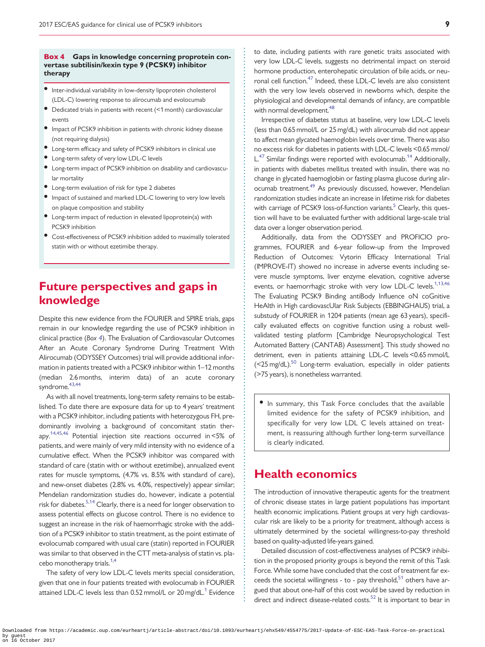#### <span id="page-8-0"></span>Box 4 Gaps in knowledge concerning proprotein convertase subtilisin/kexin type 9 (PCSK9) inhibitor therapy

- Inter-individual variability in low-density lipoprotein cholesterol (LDL-C) lowering response to alirocumab and evolocumab
- Dedicated trials in patients with recent (<1 month) cardiovascular events
- Impact of PCSK9 inhibition in patients with chronic kidney disease (not requiring dialysis)
- Long-term efficacy and safety of PCSK9 inhibitors in clinical use
- Long-term safety of very low LDL-C levels
- Long-term impact of PCSK9 inhibition on disability and cardiovascular mortality
- Long-term evaluation of risk for type 2 diabetes
- Impact of sustained and marked LDL-C lowering to very low levels on plaque composition and stability
- Long-term impact of reduction in elevated lipoprotein(a) with PCSK9 inhibition
- Cost-effectiveness of PCSK9 inhibition added to maximally tolerated statin with or without ezetimibe therapy.

# Future perspectives and gaps in knowledge

Despite this new evidence from the FOURIER and SPIRE trials, gaps remain in our knowledge regarding the use of PCSK9 inhibition in clinical practice (Box 4). The Evaluation of Cardiovascular Outcomes After an Acute Coronary Syndrome During Treatment With Alirocumab (ODYSSEY Outcomes) trial will provide additional information in patients treated with a PCSK9 inhibitor within 1–12 months (median 2.6 months, interim data) of an acute coronary syndrome.<sup>[43](#page-11-0),[44](#page-11-0)</sup>

As with all novel treatments, long-term safety remains to be established. To date there are exposure data for up to 4 years' treatment with a PCSK9 inhibitor, including patients with heterozygous FH, predominantly involving a background of concomitant statin therapy.[14](#page-10-0)[,45,46](#page-11-0) Potential injection site reactions occurred in <5% of patients, and were mainly of very mild intensity with no evidence of a cumulative effect. When the PCSK9 inhibitor was compared with standard of care (statin with or without ezetimibe), annualized event rates for muscle symptoms, (4.7% vs. 8.5% with standard of care), and new-onset diabetes (2.8% vs. 4.0%, respectively) appear similar; Mendelian randomization studies do, however, indicate a potential risk for diabetes.<sup>5,14</sup> Clearly, there is a need for longer observation to assess potential effects on glucose control. There is no evidence to suggest an increase in the risk of haemorrhagic stroke with the addition of a PCSK9 inhibitor to statin treatment, as the point estimate of evolocumab compared with usual care (statin) reported in FOURIER was similar to that observed in the CTT meta-analysis of statin vs. pla-cebo monotherapy trials.<sup>1,[4](#page-10-0)</sup>

The safety of very low LDL-C levels merits special consideration, given that one in four patients treated with evolocumab in FOURIER attained LDL-C levels less than  $0.52$  mmol/L or  $20$  mg/dL.<sup>1</sup> Evidence

to date, including patients with rare genetic traits associated with very low LDL-C levels, suggests no detrimental impact on steroid hormone production, enterohepatic circulation of bile acids, or neuronal cell function.<sup>47</sup> Indeed, these LDL-C levels are also consistent with the very low levels observed in newborns which, despite the physiological and developmental demands of infancy, are compatible with normal development.<sup>48</sup>

Irrespective of diabetes status at baseline, very low LDL-C levels (less than 0.65 mmol/L or 25 mg/dL) with alirocumab did not appear to affect mean glycated haemoglobin levels over time. There was also no excess risk for diabetes in patients with LDL-C levels <0.65 mmol/  $L^{47}$  Similar findings were reported with evolocumab.<sup>[14](#page-10-0)</sup> Additionally, in patients with diabetes mellitus treated with insulin, there was no change in glycated haemoglobin or fasting plasma glucose during alir-ocumab treatment.<sup>[49](#page-12-0)</sup> As previously discussed, however, Mendelian randomization studies indicate an increase in lifetime risk for diabetes with carriage of PCSK9 loss-of-function variants.<sup>5</sup> Clearly, this question will have to be evaluated further with additional large-scale trial data over a longer observation period.

Additionally, data from the ODYSSEY and PROFICIO programmes, FOURIER and 6-year follow-up from the Improved Reduction of Outcomes: Vytorin Efficacy International Trial (IMPROVE-IT) showed no increase in adverse events including severe muscle symptoms, liver enzyme elevation, cognitive adverse events, or haemorrhagic stroke with very low LDL-C levels.<sup>1,13,[46](#page-11-0)</sup> The Evaluating PCSK9 Binding antiBody Influence oN coGnitive HeAlth in High cardiovascUlar Risk Subjects (EBBINGHAUS) trial, a substudy of FOURIER in 1204 patients (mean age 63 years), specifically evaluated effects on cognitive function using a robust wellvalidated testing platform [Cambridge Neuropsychological Test Automated Battery (CANTAB) Assessment]. This study showed no detriment, even in patients attaining LDL-C levels <0.65 mmol/L  $\approx$  150 mg/dL).<sup>50</sup> Long-term evaluation, especially in older patients (>75 years), is nonetheless warranted.

• In summary, this Task Force concludes that the available limited evidence for the safety of PCSK9 inhibition, and specifically for very low LDL C levels attained on treatment, is reassuring although further long-term surveillance is clearly indicated.

## Health economics

The introduction of innovative therapeutic agents for the treatment of chronic disease states in large patient populations has important health economic implications. Patient groups at very high cardiovascular risk are likely to be a priority for treatment, although access is ultimately determined by the societal willingness-to-pay threshold based on quality-adjusted life-years gained.

Detailed discussion of cost-effectiveness analyses of PCSK9 inhibition in the proposed priority groups is beyond the remit of this Task Force. While some have concluded that the cost of treatment far exceeds the societal willingness - to - pay threshold, $51$  others have argued that about one-half of this cost would be saved by reduction in direct and indirect disease-related costs.<sup>52</sup> It is important to bear in

. . . . . . . . . . . . . . . . . . . . . . . . . . . . . . . . . . . . . . . . . . . . . . . . . . . . . . . . . . . . . . . . . . . . . . . . . . . . . . . . . . . . . . . . . . . . . . . . . . . . . . . . . . . . . . . . . . . . . . . . . . . . . . . . . . . . . . . . . . . . . . . . . . . . . . . . . . . . . . . . . . . . . . . . . . . . .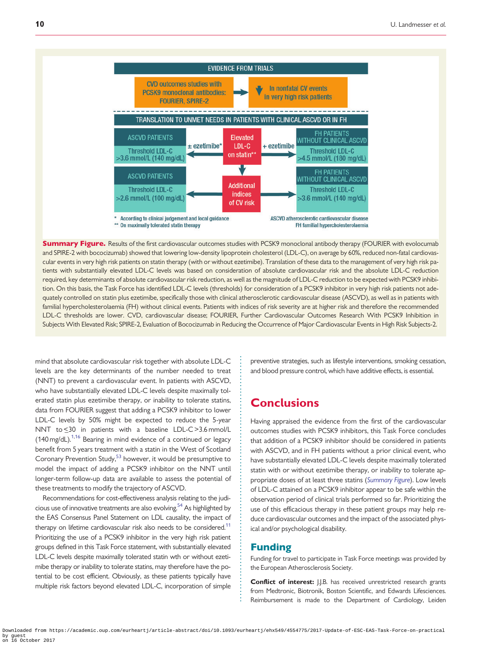<span id="page-9-0"></span>

**Summary Figure.** Results of the first cardiovascular outcomes studies with PCSK9 monoclonal antibody therapy (FOURIER with evolocumab and SPIRE-2 with bococizumab) showed that lowering low-density lipoprotein cholesterol (LDL-C), on average by 60%, reduced non-fatal cardiovascular events in very high risk patients on statin therapy (with or without ezetimibe). Translation of these data to the management of very high risk patients with substantially elevated LDL-C levels was based on consideration of absolute cardiovascular risk and the absolute LDL-C reduction required, key determinants of absolute cardiovascular risk reduction, as well as the magnitude of LDL-C reduction to be expected with PCSK9 inhibition. On this basis, the Task Force has identified LDL-C levels (thresholds) for consideration of a PCSK9 inhibitor in very high risk patients not adequately controlled on statin plus ezetimibe, specifically those with clinical atherosclerotic cardiovascular disease (ASCVD), as well as in patients with familial hypercholesterolaemia (FH) without clinical events. Patients with indices of risk severity are at higher risk and therefore the recommended LDL-C thresholds are lower. CVD, cardiovascular disease; FOURIER, Further Cardiovascular Outcomes Research With PCSK9 Inhibition in Subjects With Elevated Risk; SPIRE-2, Evaluation of Bococizumab in Reducing the Occurrence of Major Cardiovascular Events in High Risk Subjects-2.

. mind that absolute cardiovascular risk together with absolute LDL-C levels are the key determinants of the number needed to treat (NNT) to prevent a cardiovascular event. In patients with ASCVD, who have substantially elevated LDL-C levels despite maximally tolerated statin plus ezetimibe therapy, or inability to tolerate statins, data from FOURIER suggest that adding a PCSK9 inhibitor to lower LDL-C levels by 50% might be expected to reduce the 5-year NNT to  $\leq$ 30 in patients with a baseline LDL-C > 3.6 mmol/L (140 mg/dL). $1,16$  $1,16$  Bearing in mind evidence of a continued or legacy benefit from 5 years treatment with a statin in the West of Scotland Coronary Prevention Study,<sup>[53](#page-12-0)</sup> however, it would be presumptive to model the impact of adding a PCSK9 inhibitor on the NNT until longer-term follow-up data are available to assess the potential of these treatments to modify the trajectory of ASCVD.

Recommendations for cost-effectiveness analysis relating to the judicious use of innovative treatments are also evolving.<sup>54</sup> As highlighted by the EAS Consensus Panel Statement on LDL causality, the impact of therapy on lifetime cardiovascular risk also needs to be considered.<sup>11</sup> Prioritizing the use of a PCSK9 inhibitor in the very high risk patient groups defined in this Task Force statement, with substantially elevated LDL-C levels despite maximally tolerated statin wth or without ezetimibe therapy or inability to tolerate statins, may therefore have the potential to be cost efficient. Obviously, as these patients typically have multiple risk factors beyond elevated LDL-C, incorporation of simple

preventive strategies, such as lifestyle interventions, smoking cessation, and blood pressure control, which have additive effects, is essential.

## **Conclusions**

Having appraised the evidence from the first of the cardiovascular outcomes studies with PCSK9 inhibitors, this Task Force concludes that addition of a PCSK9 inhibitor should be considered in patients with ASCVD, and in FH patients without a prior clinical event, who have substantially elevated LDL-C levels despite maximally tolerated statin with or without ezetimibe therapy, or inability to tolerate appropriate doses of at least three statins (Summary Figure). Low levels of LDL-C attained on a PCSK9 inhibitor appear to be safe within the observation period of clinical trials performed so far. Prioritizing the use of this efficacious therapy in these patient groups may help reduce cardiovascular outcomes and the impact of the associated physical and/or psychological disability.

#### Funding

Funding for travel to participate in Task Force meetings was provided by the European Atherosclerosis Society.

Conflict of interest: J.J.B. has received unrestricted research grants from Medtronic, Biotronik, Boston Scientific, and Edwards Lifesciences. Reimbursement is made to the Department of Cardiology, Leiden

. . . . . . . . . . . . . . . . . . . . . . . . . . . . . . . . . . . . . . . . . . . . . . . . . . . . . . . . . . . . . . . . . . . . . . . . . . . .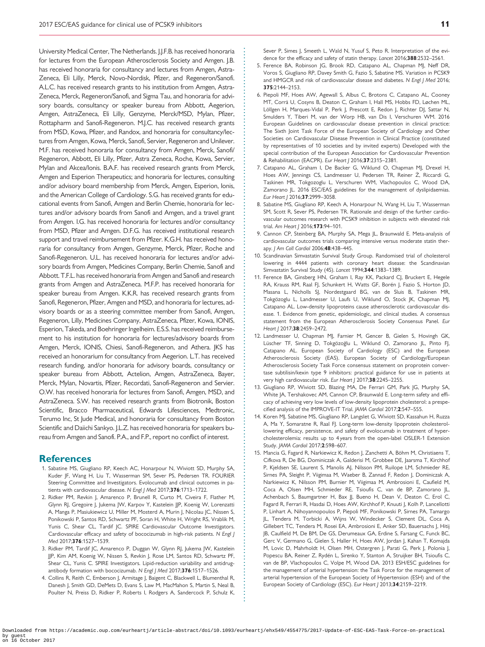<span id="page-10-0"></span>. University Medical Center, The Netherlands. J.J.F.B. has received honoraria for lectures from the European Atherosclerosis Society and Amgen. J.B. has received honoraria for consultancy and lectures from Amgen, Astra-Zeneca, Eli Lilly, Merck, Novo-Nordisk, Pfizer, and Regeneron/Sanofi. A.L.C. has received research grants to his institution from Amgen, Astra-Zeneca, Merck, Regeneron/Sanofi, and Sigma Tau, and honoraria for advisory boards, consultancy or speaker bureau from Abbott, Aegerion, Amgen, AstraZeneca, Eli Lilly, Genzyme, Merck/MSD, Mylan, Pfizer, Rottapharm and Sanofi-Regeneron. M.J.C. has received research grants from MSD, Kowa, Pfizer, and Randox, and honoraria for consultancy/lectures from Amgen, Kowa, Merck, Sanofi, Servier, Regeneron and Unilever. M.F. has received honoraria for consultancy from Amgen, Merck, Sanofi/ Regeneron, Abbott, Eli Lilly, Pfizer, Astra Zeneca, Roche, Kowa, Servier, Mylan and Akcea/Ionis. B.A.F. has received research grants from Merck, Amgen and Esperion Therapeutics; and honoraria for lectures, consulting and/or advisory board membership from Merck, Amgen, Esperion, Ionis, and the American College of Cardiology. S.G. has received grants for educational events from Sanofi, Amgen and Berlin Chemie, honoraria for lectures and/or advisory boards from Sanofi and Amgen, and a travel grant from Amgen. I.G. has received honoraria for lectures and/or consultancy from MSD, Pfizer and Amgen. D.F.G. has received institutional research support and travel reimbursement from Pfizer. K.G.H. has received honoraria for consultancy from Amgen, Genzyme, Merck, Pfizer, Roche and Sanofi-Regeneron. U.L. has received honoraria for lectures and/or advisory boards from Amgen, Medicines Company, Berlin Chemie, Sanofi and Abbott. T.F.L. has received honoraria from Amgen and Sanofi and research grants from Amgen and AstraZeneca. M.F.P. has received honoraria for speaker bureau from Amgen. K.K.R. has received research grants from Sanofi, Regeneron, Pfizer, Amgen and MSD, and honoraria for lectures, advisory boards or as a steering committee member from Sanofi, Amgen, Regeneron, Lilly, Medicines Company, AstraZeneca, Pfizer, Kowa, IONIS, Esperion, Takeda, and Boehringer Ingelheim. E.S.S. has received reimbursement to his institution for honoraria for lectures/advisory boards from Amgen, Merck, IONIS, Chiesi, Sanofi-Regeneron, and Athera. JKS has received an honorarium for consultancy from Aegerion. L.T. has received research funding, and/or honoraria for advisory boards, consultancy or speaker bureau from Abbott, Actelion, Amgen, AstraZeneca, Bayer, Merck, Mylan, Novartis, Pfizer, Recordati, Sanofi-Regeneron and Servier. O.W. has received honoraria for lectures from Sanofi, Amgen, MSD, and AstraZeneca. S.W. has received research grants from Biotronik, Boston Scientific, Bracco Pharmaceutical, Edwards Lifesciences, Medtronic, Terumo Inc, St Jude Medical, and honoraria for consultancy from Boston Scientific and Daiichi Sankyo. J.L.Z. has received honoraria for speakers bureau from Amgen and Sanofi. P.A., and F.P., report no conflict of interest.

#### References

- [1. Sabatine MS, Giugliano RP, Keech AC, Honarpour N, Wiviott SD, Murphy SA,](#page-0-0) [Kuder JF, Wang H, Liu T, Wasserman SM, Sever PS, Pedersen TR. FOURIER](#page-0-0) [Steering Committee and Investigators. Evolocumab and clinical outcomes in pa](#page-0-0)[tients with cardiovascular disease.](#page-0-0) N Engl J Med 2017;376:1713–1722.
- [2. Ridker PM, Revkin J, Amarenco P, Brunell R, Curto M, Civeira F, Flather M,](#page-0-0) [Glynn RJ, Gregoire J, Jukema JW, Karpov Y, Kastelein JJP, Koenig W, Lorenzatti](#page-0-0) [A, Manga P, Masiukiewicz U, Miller M, Mosterd A, Murin J, Nicolau JC, Nissen S,](#page-0-0) [Ponikowski P, Santos RD, Schwartz PF, Soran H, White H, Wright RS, Vrablik M,](#page-0-0) [Yunis C, Shear CL, Tardif JC. SPIRE Cardiovascular Outcome Investigators.](#page-0-0) [Cardiovascular efficacy and safety of bococizumab in high-risk patients.](#page-0-0) N Engl J Med 2017;376[:1527–1539.](#page-0-0)
- [3. Ridker PM, Tardif JC, Amarenco P, Duggan W, Glynn RJ, Jukema JW, Kastelein](#page-1-0) [JJP, Kim AM, Koenig W, Nissen S, Revkin J, Rose LM, Santos RD, Schwartz PF,](#page-1-0) [Shear CL, Yunis C. SPIRE Investigators. Lipid-reduction variability and antidrug](#page-1-0)[antibody formation with bococizumab.](#page-1-0) N Engl J Med 2017;376:1517-1526.
- [4. Collins R, Reith C, Emberson J, Armitage J, Baigent C, Blackwell L, Blumenthal R,](#page-1-0) [Danesh J, Smith GD, DeMets D, Evans S, Law M, MacMahon S, Martin S, Neal B,](#page-1-0) [Poulter N, Preiss D, Ridker P, Roberts I, Rodgers A, Sandercock P, Schulz K,](#page-1-0)

[Sever P, Simes J, Smeeth L, Wald N, Yusuf S, Peto R. Interpretation of the evi](#page-1-0)[dence for the efficacy and safety of statin therapy.](#page-1-0) Lancet 2016;388:2532–2561.

- [5. Ference BA, Robinson JG, Brook RD, Catapano AL, Chapman MJ, Neff DR,](#page-1-0) [Voros S, Giugliano RP, Davey Smith G, Fazio S, Sabatine MS. Variation in PCSK9](#page-1-0) [and HMGCR and risk of cardiovascular disease and diabetes.](#page-1-0) N Engl J Med 2016; 375[:2144–2153.](#page-1-0)
- [6. Piepoli MF, Hoes AW, Agewall S, Albus C, Brotons C, Catapano AL, Cooney](#page-1-0) [MT, Corra` U, Cosyns B, Deaton C, Graham I, Hall MS, Hobbs FD, Løchen ML,](#page-1-0) Löllgen H, Marques-Vidal P, Perk J, Prescott E, Redon J, Richter DJ, Sattar N, [Smulders Y, Tiberi M, van der Worp HB, van Dis I, Verschuren WM. 2016](#page-1-0) [European Guidelines on cardiovascular disease prevention in clinical practice:](#page-1-0) [The Sixth Joint Task Force of the European Society of Cardiology and Other](#page-1-0) [Societies on Cardiovascular Disease Prevention in Clinical Practice \(constituted](#page-1-0) [by representatives of 10 societies and by invited experts\) Developed with the](#page-1-0) [special contribution of the European Association for Cardiovascular Prevention](#page-1-0) [& Rehabilitation \(EACPR\).](#page-1-0) Eur Heart J 2016;37:2315-2381.
- [7. Catapano AL, Graham I, De Backer G, Wiklund O, Chapman MJ, Drexel H,](#page-1-0) [Hoes AW, Jennings CS, Landmesser U, Pedersen TR, Reiner](#page-1-0) Ž[, Riccardi G,](#page-1-0) [Taskinen MR, Tokgozoglu L, Verschuren WM, Vlachopoulos C, Wood DA,](#page-1-0) [Zamorano JL. 2016 ESC/EAS guidelines for the management of dyslipidaemias.](#page-1-0) Eur Heart | 2016;37:2999-3058.
- [8. Sabatine MS, Giugliano RP, Keech A, Honarpour N, Wang H, Liu T, Wasserman](#page-1-0) [SM, Scott R, Sever PS, Pedersen TR. Rationale and design of the further cardio](#page-1-0)[vascular outcomes research with PCSK9 inhibition in subjects with elevated risk](#page-1-0) trial. Am Heart | 2016;173:94-101.
- [9. Cannon CP, Steinberg BA, Murphy SA, Mega JL, Braunwald E. Meta-analysis of](#page-1-0) [cardiovascular outcomes trials comparing intensive versus moderate statin ther](#page-1-0)apy. [J Am Coll Cardiol](#page-1-0) 2006;48:438–445.
- [10. Scandinavian Simvastatin Survival Study Group. Randomised trial of cholesterol](#page-1-0) [lowering in 4444 patients with coronary heart disease: the Scandinavian](#page-1-0) [Simvastatin Survival Study \(4S\).](#page-1-0) Lancet 1994;344:1383–1389.
- [11. Ference BA, Ginsberg HN, Graham I, Ray KK, Packard CJ, Bruckert E, Hegele](#page-1-0) RA, Krauss RM, Raal FJ, Schunkert H, Watts GF, Borén J, Fazio S, Horton JD, [Masana L, Nicholls SJ, Nordestgaard BG, van de Sluis B, Taskinen MR,](#page-1-0) Tokgözoglu L, Landmesser U, Laufs U, Wiklund O, Stock JK, Chapman MJ, [Catapano AL. Low-density lipoproteins cause atherosclerotic cardiovascular dis](#page-1-0)[ease. 1. Evidence from genetic, epidemiologic, and clinical studies. A consensus](#page-1-0) [statement from the European Atherosclerosis Society Consensus Panel.](#page-1-0) Eur Heart J 2017;38[:2459–2472.](#page-1-0)
- [12. Landmesser U, Chapman MJ, Farnier M, Gencer B, Gielen S, Hovingh GK,](#page-1-0) Lüscher TF, Sinning D, Tokgözoğlu L, Wiklund O, Zamorano JL, Pinto FJ [Catapano AL. European Society of Cardiology \(ESC\) and the European](#page-1-0) [Atherosclerosis Society \(EAS\). European Society of Cardiology/European](#page-1-0) [Atherosclerosis Society Task Force consensus statement on proprotein conver](#page-1-0)[tase subtilisin/kexin type 9 inhibitors: practical guidance for use in patients at](#page-1-0) [very high cardiovascular risk.](#page-1-0) Eur Heart | 2017;38:2245-2255.
- [13. Giugliano RP, Wiviott SD, Blazing MA, De Ferrari GM, Park JG, Murphy SA,](#page-3-0) [White JA, Tershakovec AM, Cannon CP, Braunwald E. Long-term safety and effi](#page-3-0)[cacy of achieving very low levels of low-density lipoprotein cholesterol: a prespe](#page-3-0)[cified analysis of the IMPROVE-IT Trial.](#page-3-0) JAMA Cardiol 2017;2:547-555.
- [14. Koren MJ, Sabatine MS, Giugliano RP, Langslet G, Wiviott SD, Kassahun H, Ruzza](#page-3-0) [A, Ma Y, Somaratne R, Raal FJ. Long-term low-density lipoprotein cholesterol](#page-3-0)[lowering efficacy, persistence, and safety of evolocumab in treatment of hyper](#page-3-0)[cholesterolemia: results up to 4 years from the open-label OSLER-1 Extension](#page-3-0) Study. [JAMA Cardiol](#page-3-0) 2017;2:598–607.
- 15. Mancia G, Fagard R, Narkiewicz K, Redon J, Zanchetti A, Böhm M, Christiaens T, [Cifkova R, De BG, Dominiczak A, Galderisi M, Grobbee DE, Jaarsma T, Kirchhof](#page-4-0) [P, Kjeldsen SE, Laurent S, Manolis AJ, Nilsson PM, Ruilope LM, Schmieder RE,](#page-4-0) [Sirnes PA, Sleight P, Viigimaa M, Waeber B, Zannad F, Redon J, Dominiczak A,](#page-4-0) [Narkiewicz K, Nilsson PM, Burnier M, Viigimaa M, Ambrosioni E, Caufield M,](#page-4-0) [Coca A, Olsen MH, Schmieder RE, Tsioufis C, van de BP, Zamorano JL,](#page-4-0) [Achenbach S, Baumgartner H, Bax JJ, Bueno H, Dean V, Deaton C, Erol C,](#page-4-0) [Fagard R, Ferrari R, Hasdai D, Hoes AW, Kirchhof P, Knuuti J, Kolh P, Lancellotti](#page-4-0) [P, Linhart A, Nihoyannopoulos P, Piepoli MF, Ponikowski P, Sirnes PA, Tamargo](#page-4-0) [JL, Tendera M, Torbicki A, Wijns W, Windecker S, Clement DL, Coca A,](#page-4-0) [Gillebert TC, Tendera M, Rosei EA, Ambrosioni E, Anker SD, Bauersachs J, Hitij](#page-4-0) [JB, Caulfield M, De BM, De GS, Derumeaux GA, Erdine S, Farsang C, Funck BC,](#page-4-0) [Gerc V, Germano G, Gielen S, Haller H, Hoes AW, Jordan J, Kahan T, Komajda](#page-4-0) [M, Lovic D, Mahrholdt H, Olsen MH, Ostergren J, Parati G, Perk J, Polonia J,](#page-4-0) Popescu BA, Reiner Z, Rydén L, Sirenko Y, Stanton A, Struijker BH, Tsioufis C, [van de BP, Vlachopoulos C, Volpe M, Wood DA. 2013 ESH/ESC guidelines for](#page-4-0) [the management of arterial hypertension: the Task Force for the management of](#page-4-0) [arterial hypertension of the European Society of Hypertension \(ESH\) and of the](#page-4-0) [European Society of Cardiology \(ESC\).](#page-4-0) Eur Heart | 2013;34:2159-2219.

. . . . . . . . . . . . . . . . . . . . . . . . . . . . . . . . . . . . . . . . . . . . . . . . . . . . . . . . . . . . . . . . . . . . . . . . . . . . . . . . . . . . . . . . . . . . . . . . . . . . . . . . . . . . . . . . . . . . . . . . . . . . . . . . . . . . . . . . . . . . . . . . . . . . . . . . . . . . . . . . . . . . . . . . . . . .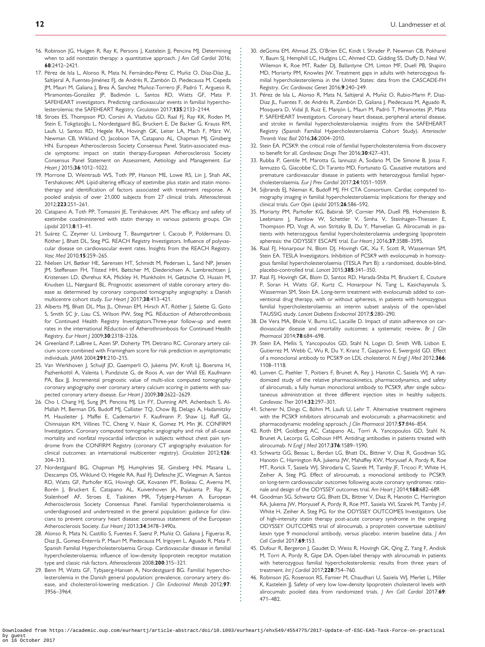- <span id="page-11-0"></span>. [16. Robinson JG, Huijgen R, Ray K, Persons J, Kastelein JJ, Pencina MJ. Determining](#page-3-0) [when to add nonstatin therapy: a quantitative approach.](#page-3-0) J Am Coll Cardiol 2016; 68[:2412–2421.](#page-3-0)
- 17. Pérez de Isla L, Alonso R, Mata N, Fernández-Pérez C, Muñiz O, Díaz-Díaz JL, Saltijeral A, Fuentes-Jiménez FJ, de Andrés R, Zambón D, Piedecausa M, Cepeda JM, Mauri M, Galiana J, Brea Á, Sanchez Muñoz-Torrero JF, Padró T, Argueso R, Miramontes-González JP, Badimón L, Santos RD, Watts GF, Mata P. [SAFEHEART investigators. Predicting cardiovascular events in familial hypercho](#page-4-0)[lesterolemia: the SAFEHEART Registry.](#page-4-0) Circulation 2017;135:2133–2144.
- [18. Stroes ES, Thompson PD, Corsini A, Vladutiu GD, Raal FJ, Ray KK, Roden M,](#page-3-0) Stein E, Tokgözoğlu L, Nordestgaard BG, Bruckert E, De Backer G, Krauss RM, Laufs U, Santos RD, Hegele RA, Hovingh GK, Leiter LA, Mach F, März W, [Newman CB, Wiklund O, Jacobson TA, Catapano AL, Chapman MJ, Ginsberg](#page-3-0) [HN. European Atherosclerosis Society Consensus Panel. Statin-associated mus](#page-3-0)[cle symptoms: impact on statin therapy-European Atherosclerosis Society](#page-3-0) [Consensus Panel Statement on Assessment, Aetiology and Management.](#page-3-0) Eur Heart J 2015;36[:1012–1022.](#page-3-0)
- [19. Morrone D, Weintraub WS, Toth PP, Hanson ME, Lowe RS, Lin J, Shah AK,](#page-3-0) [Tershakovec AM. Lipid-altering efficacy of ezetimibe plus statin and statin mono](#page-3-0)[therapy and identification of factors associated with treatment response. A](#page-3-0) [pooled analysis of over 21,000 subjects from 27 clinical trials.](#page-3-0) Atherosclerosis 2012;223[:251–261.](#page-3-0)
- [20. Catapano A, Toth PP, Tomassini JE, Tershakovec AM. The efficacy and safety of](#page-3-0) [ezetimibe coadministered with statin therapy in various patients groups.](#page-3-0) Clin Lipidol 2013;8[:13–41.](#page-3-0)
- 21. Suárez C, Zeymer U, Limbourg T, Baumgartner I, Cacoub P, Poldermans D, Röther J, Bhatt DL, Steg PG. REACH Registry Investigators. Influence of polyvas[cular disease on cardiovascular event rates. Insights from the REACH Registry.](#page-3-0) Vasc Med 2010:15:259-265.
- [22. Nielsen LH, Bøtker HE, Sørensen HT, Schmidt M, Pedersen L, Sand NP, Jensen](#page-3-0) [JM, Steffensen FH, Tilsted HH, Bøttcher M, Diederichsen A, Lambrechtsen J,](#page-3-0) [Kristensen LD, Øvrehus KA, Mickley H, Munkholm H, Gøtzsche O, Husain M,](#page-3-0) [Knudsen LL, Nørgaard BL. Prognostic assessment of stable coronary artery dis](#page-3-0)[ease as determined by coronary computed tomography angiography: a Danish](#page-3-0) [multicentre cohort study.](#page-3-0) Eur Heart J 2017;38:413-421.
- 23. Alberts MJ, Bhatt DL, Mas JL, Ohman EM, Hirsch AT, Röther J, Salette G, Goto [S, Smith SC Jr, Liau CS, Wilson PW, Steg PG. REduction of Atherothrombosis](#page-3-0) [for Continued Health Registry Investigators.Three-year follow-up and event](#page-3-0) [rates in the international REduction of Atherothrombosis for Continued Health](#page-3-0) Registry. Eur Heart J 2009;30[:2318–2326.](#page-3-0)
- [24. Greenland P, LaBree L, Azen SP, Doherty TM, Detrano RC. Coronary artery cal](#page-3-0)[cium score combined with Framingham score for risk prediction in asymptomatic](#page-3-0) [individuals.](#page-3-0) JAMA 2004;291:210-215.
- [25. Van Werkhoven J, Schuijf JD, Gaemperli O, Jukema JW, Kroft LJ, Boersma H,](#page-3-0) [Pazhenkottil A, Valenta I, Pundziute G, de Roos A, van der Wall EE, Kaufmann](#page-3-0) PA. Bax JJ. Incremental prognostic value of multi-slice computed tomography [coronary angiography over coronary artery calcium scoring in patients with sus](#page-3-0)[pected coronary artery disease.](#page-3-0) Eur Heart J 2009;30:2622-2629.
- [26. Cho I, Chang HJ, Sung JM, Pencina MJ, Lin FY, Dunning AM, Achenbach S, Al-](#page-3-0)[Mallah M, Berman DS, Budoff MJ, Callister TQ, Chow BJ, Delago A, Hadamitzky](#page-3-0) [M, Hausleiter J, Maffei E, Cademartiri F, Kaufmann P, Shaw LJ, Raff GL,](#page-3-0) [Chinnaiyan KM, Villines TC, Cheng V, Nasir K, Gomez M, Min JK. CONFIRM](#page-3-0) [Investigators. Coronary computed tomographic angiography and risk of all-cause](#page-3-0) [mortality and nonfatal myocardial infarction in subjects without chest pain syn](#page-3-0)[drome from the CONFIRM Registry \(coronary CT angiography evaluation for](#page-3-0) [clinical outcomes: an international multicenter registry\).](#page-3-0) Circulation 2012;126: [304–313.](#page-3-0)
- [27. Nordestgaard BG, Chapman MJ, Humphries SE, Ginsberg HN, Masana L,](#page-4-0) [Descamps OS, Wiklund O, Hegele RA, Raal FJ, Defesche JC, Wiegman A, Santos](#page-4-0) [RD, Watts GF, Parhofer KG, Hovingh GK, Kovanen PT, Boileau C, Averna M,](#page-4-0) Borén J, Bruckert E, Catapano AL, Kuivenhoven JA, Pajukanta P, Ray K, [Stalenhoef AF, Stroes E, Taskinen MR, Tybjærg-Hansen A. European](#page-4-0) [Atherosclerosis Society Consensus Panel. Familial hypercholesterolaemia is](#page-4-0) [underdiagnosed and undertreated in the general population: guidance for clini](#page-4-0)[cians to prevent coronary heart disease: consensus statement of the European](#page-4-0) [Atherosclerosis Society.](#page-4-0) Eur Heart J 2013;34:3478-3490a.
- 28. Alonso R. Mata N, Castillo S, Fuentes F, Saenz P, Muñ[iz O, Galiana J, Figueras R,](#page-4-0) Diaz JL, Gomez-Enterría P, Mauri M, Piedecausa M, Irigoyen L, Aguado R, Mata P. [Spanish Familial Hypercholesterolaemia Group. Cardiovascular disease in familial](#page-4-0) [hypercholesterolaemia: influence of low-density lipoprotein receptor mutation](#page-4-0) [type and classic risk factors.](#page-4-0) Atherosclerosis 2008;200:315–321.
- 29. Benn M, Watts GF, Tybjaerg-Hansen A, Nordestgaard BG. Familial hypercholesterolemia in the Danish general population: prevalence, coronary artery disease, and cholesterol-lowering medication. J Clin Endocrinol Metab 2012;97: 3956–3964.
- 30. deGoma EM, Ahmad ZS, O'Brien EC, Kindt I, Shrader P, Newman CB, Pokharel Y, Baum SJ, Hemphill LC, Hudgins LC, Ahmed CD, Gidding SS, Duffy D, Neal W, Wilemon K, Roe MT, Rader DJ, Ballantyne CM, Linton MF, Duell PB, Shapiro MD, Moriarty PM, Knowles JW. Treatment gaps in adults with heterozygous familial hypercholesterolemia in the United States: data from the CASCADE-FH Registry. Circ Cardiovasc Genet 2016;9:240–249.
- 31. Pérez de Isla L, Alonso R, Mata N, Saltijeral A, Muñ[iz O, Rubio-Marin P, Diaz-](#page-4-0)Diaz | L, Fuentes F, de Andrés R, Zambón D, Galiana J, Piedecausa M, Aguado R, Mosquera D, Vidal JI, Ruiz E, Manjón L, Mauri M, Padró T, Miramontes JP, Mata [P. SAFEHEART Investigators. Coronary heart disease, peripheral arterial disease,](#page-4-0) [and stroke in familial hypercholesterolaemia: insights from the SAFEHEART](#page-4-0) [Registry \(Spanish Familial Hypercholesterolaemia Cohort Study\).](#page-4-0) Arterioscler [Thromb Vasc Biol](#page-4-0) 2016;36:2004–2010.
- [32. Stein EA. PCSK9: the critical role of familial hypercholesterolemia from discovery](#page-4-0) to benefit for all. [Cardiovasc Drugs Ther](#page-4-0) 2016;30:427–431.
- [33. Rubba P, Gentile M, Marotta G, Iannuzzi A, Sodano M, De Simone B, Jossa F,](#page-6-0) [Iannuzzo G, Giacobbe C, Di Taranto MD, Fortunato G. Causative mutations and](#page-6-0) [premature cardiovascular disease in patients with heterozygous familial hyper](#page-6-0)[cholesterolaemia.](#page-6-0) Eur J Prev Cardiol 2017;24:1051–1059.
- [34. Sijbrands EJ, Nieman K, Budoff MJ. FH CTA Consortium. Cardiac computed to](#page-6-0)[mography imaging in familial hypercholesterolaemia: implications for therapy and](#page-6-0) clinical trials. [Curr Opin Lipidol](#page-6-0) 2015;26:586–592.
- [35. Moriarty PM, Parhofer KG, Babirak SP, Cornier MA, Duell PB, Hohenstein B,](#page-6-0) [Leebmann J, Ramlow W, Schettler V, Simha V, Steinhagen-Thiessen E,](#page-6-0) [Thompson PD, Vogt A, von Stritzky B, Du Y, Manvelian G. Alirocumab in pa](#page-6-0)[tients with heterozygous familial hypercholesterolaemia undergoing lipoprotein](#page-6-0) [apheresis: the ODYSSEY ESCAPE trial.](#page-6-0) Eur Heart | 2016;37:3588-3595.
- [36. Raal FJ, Honarpour N, Blom DJ, Hovingh GK, Xu F, Scott R, Wasserman SM,](#page-6-0) [Stein EA. TESLA Investigators. Inhibition of PCSK9 with evolocumab in homozy](#page-6-0)[gous familial hypercholesterolaemia \(TESLA Part B\): a randomised, double-blind,](#page-6-0) [placebo-controlled trial.](#page-6-0) Lancet 2015;385:341–350.
- [37. Raal FJ, Hovingh GK, Blom D, Santos RD, Harada-Shiba M, Bruckert E, Couture](#page-6-0) [P, Soran H, Watts GF, Kurtz C, Honarpour N, Tang L, Kasichayanula S,](#page-6-0) [Wasserman SM, Stein EA. Long-term treatment with evolocumab added to con](#page-6-0)[ventional drug therapy, with or without apheresis, in patients with homozygous](#page-6-0) [familial hypercholesterolaemia: an interim subset analysis of the open-label](#page-6-0) TAUSSIG study. [Lancet Diabetes Endocrinol](#page-6-0) 2017;5:280–290.
- [38. De Vera MA, Bhole V, Burns LC, Lacaille D. Impact of statin adherence on car](#page-6-0)[diovascular disease and mortality outcomes: a systematic review.](#page-6-0) Br J Clin [Pharmacol](#page-6-0) 2014;78:684-698.
- [39. Stein EA, Mellis S, Yancopoulos GD, Stahl N, Logan D, Smith WB, Lisbon E,](#page-6-0) [Gutierrez M, Webb C, Wu R, Du Y, Kranz T, Gasparino E, Swergold GD. Effect](#page-6-0) [of a monoclonal antibody to PCSK9 on LDL cholesterol.](#page-6-0) N Engl J Med 2012;366: [1108–1118.](#page-6-0)
- [40. Lunven C, Paehler T, Poitiers F, Brunet A, Rey J, Hanotin C, Sasiela WJ. A ran](#page-6-0)[domized study of the relative pharmacokinetics, pharmacodynamics, and safety](#page-6-0) [of alirocumab, a fully human monoclonal antibody to PCSK9, after single subcu](#page-6-0)[taneous administration at three different injection sites in healthy subjects.](#page-6-0) [Cardiovasc Ther](#page-6-0) 2014;32:297–301.
- 41. Scherer N, Dings C, Böhm M, Laufs U, Lehr T. Alternative treatment regimens [with the PCSK9 inhibitors alirocumab and evolocumab: a pharmacokinetic and](#page-6-0) [pharmacodynamic modeling approach.](#page-6-0) J Clin Pharmacol 2017;57:846-854.
- [42. Roth EM, Goldberg AC, Catapano AL, Torri A, Yancopoulos GD, Stahl N,](#page-6-0) [Brunet A, Lecorps G, Colhoun HM. Antidrug antibodies in patients treated with](#page-6-0) alirocumab. [N Engl J Med](#page-6-0) 2017;376:1589-1590.
- [43. Schwartz GG, Bessac L, Berdan LG, Bhatt DL, Bittner V, Diaz R, Goodman SG,](#page-8-0) [Hanotin C, Harrington RA, Jukema JW, Mahaffey KW, Moryusef A, Pordy R, Roe](#page-8-0) [MT, Rorick T, Sasiela WJ, Shirodaria C, Szarek M, Tamby JF, Tricoci P, White H,](#page-8-0) [Zeiher A, Steg PG. Effect of alirocumab, a monoclonal antibody to PCSK9,](#page-8-0) [on long-term cardiovascular outcomes following acute coronary syndromes: ratio](#page-8-0)[nale and design of the ODYSSEY outcomes trial.](#page-8-0) Am Heart J 2014;168:682-689.
- [44. Goodman SG, Schwartz GG, Bhatt DL, Bittner V, Diaz R, Hanotin C, Harrington](#page-8-0) [RA, Jukema JW, Moryusef A, Pordy R, Roe MT, Sasiela WI, Szarek M, Tamby J-F,](#page-8-0) [White H, Zeiher A, Steg PG. for the ODYSSEY OUTCOMES Investigators. Use](#page-8-0) [of high-intensity statin therapy post-acute coronary syndrome in the ongoing](#page-8-0) [ODYSSEY OUTCOMES trial of alirocumab, a proprotein convertase subtilisin/](#page-8-0) [kexin type 9 monoclonal antibody, versus placebo: interim baseline data.](#page-8-0) J Am [Coll Cardiol](#page-8-0) 2017;69:153.
- [45. Dufour R, Bergeron J, Gaudet D, Weiss R, Hovingh GK, Qing Z, Yang F, Andisik](#page-8-0) [M, Torri A, Pordy R, Gipe DA. Open-label therapy with alirocumab in patients](#page-8-0) [with heterozygous familial hypercholesterolemia: results from three years of](#page-8-0) treatment. [Int J Cardiol](#page-8-0) 2017;228:754–760.
- [46. Robinson JG, Rosenson RS, Farnier M, Chaudhari U, Sasiela WJ, Merlet L, Miller](#page-8-0) [K, Kastelein JJ. Safety of very low low-density lipoprotein cholesterol levels with](#page-8-0) [alirocumab: pooled data from randomized trials.](#page-8-0) J Am Coll Cardiol 2017;69: [471–482.](#page-8-0)

. . . . . . . . . . . . . . . . . . . . . . . . . . . . . . . . . . . . . . . . . . . . . . . . . . . . . . . . . . . . . . . . . . . . . . . . . . . . . . . . . . . . . . . . . . . . . . . . . . . . . . . . . . . . . . . . . . . . . . . . . . . . . . . . . . . . . . . . . . . . . . . . . . . . . . . . . . . . . . . . . . . . . . . . . . . .